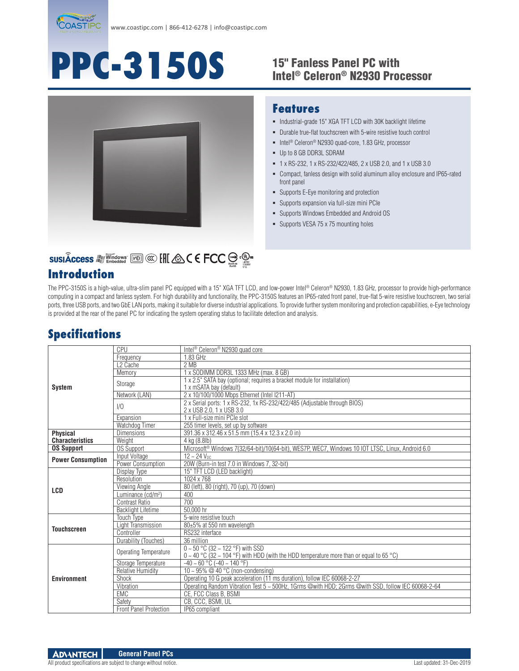

# **PPC-3150S** 15" Fanless Panel PC with

# Intel® Celeron® N2930 Processor



#### **Features**

- $\blacksquare$  Industrial-grade 15" XGA TFT LCD with 30K backlight lifetime
- Durable true-flat touchscreen with 5-wire resistive touch control
- Intel<sup>®</sup> Celeron<sup>®</sup> N2930 quad-core, 1.83 GHz, processor
- Up to 8 GB DDR3L SDRAM
- 1 x RS-232, 1 x RS-232/422/485, 2 x USB 2.0, and 1 x USB 3.0
- Compact, fanless design with solid aluminum alloy enclosure and IP65-rated front panel
- Supports E-Eye monitoring and protection
- Supports expansion via full-size mini PCIe
- Supports Windows Embedded and Android OS
- **Supports VESA 75 x 75 mounting holes**

# SUSIÂCCESS A Vindows [60] @ [H & C E FCC S . @ .

#### **Introduction**

The PPC-3150S is a high-value, ultra-slim panel PC equipped with a 15" XGA TFT LCD, and low-power Intel® Celeron® N2930, 1.83 GHz, processor to provide high-performance computing in a compact and fanless system. For high durability and functionality, the PPC-3150S features an IP65-rated front panel, true-flat 5-wire resistive touchscreen, two serial ports, three USB ports, and two GbE LAN ports, making it suitable for diverse industrial applications. To provide further system monitoring and protection capabilities, e-Eye technology is provided at the rear of the panel PC for indicating the system operating status to facilitate detection and analysis.

## **Specifications**

|                                           | CPU                            | Intel <sup>®</sup> Celeron <sup>®</sup> N2930 quad core                                                                            |
|-------------------------------------------|--------------------------------|------------------------------------------------------------------------------------------------------------------------------------|
| <b>System</b>                             |                                | 1.83 GHz                                                                                                                           |
|                                           | Frequency                      |                                                                                                                                    |
|                                           | L <sub>2</sub> Cache           | 2 MB                                                                                                                               |
|                                           | Memory                         | 1 x SODIMM DDR3L 1333 MHz (max. 8 GB)                                                                                              |
|                                           | Storage                        | 1 x 2.5" SATA bay (optional; requires a bracket module for installation)<br>1 x mSATA bay (default)                                |
|                                           | Network (LAN)                  | 2 x 10/100/1000 Mbps Ethernet (Intel I211-AT)                                                                                      |
|                                           | 1/0                            | 2 x Serial ports: 1 x RS-232, 1x RS-232/422/485 (Adjustable through BIOS)<br>2 x USB 2.0, 1 x USB 3.0                              |
|                                           | Expansion                      | 1 x Full-size mini PCIe slot                                                                                                       |
|                                           | Watchdog Timer                 | 255 timer levels, set up by software                                                                                               |
| <b>Physical</b><br><b>Characteristics</b> | <b>Dimensions</b>              | 391.36 x 312.46 x 51.5 mm (15.4 x 12.3 x 2.0 in)                                                                                   |
|                                           | Weight                         | 4 kg (8.8lb)                                                                                                                       |
| <b>OS Support</b>                         | <b>OS Support</b>              | Microsoft® Windows 7(32/64-bit)/10(64-bit), WES7P, WEC7, Windows 10 IOT LTSC, Linux, Android 6.0                                   |
| <b>Power Consumption</b>                  | Input Voltage                  | $12 - 24$ V <sub>DC</sub>                                                                                                          |
|                                           | Power Consumption              | 20W (Burn-in test 7.0 in Windows 7, 32-bit)                                                                                        |
| LCD                                       | Display Type                   | 15" TFT LCD (LED backlight)                                                                                                        |
|                                           | Resolution                     | 1024 x 768                                                                                                                         |
|                                           | Viewing Angle                  | 80 (left), 80 (right), 70 (up), 70 (down)                                                                                          |
|                                           | Luminance (cd/m <sup>2</sup> ) | 400                                                                                                                                |
|                                           | Contrast Ratio                 | 700                                                                                                                                |
|                                           | <b>Backlight Lifetime</b>      | 50.000 hr                                                                                                                          |
| <b>Touchscreen</b>                        | <b>Touch Type</b>              | 5-wire resistive touch                                                                                                             |
|                                           | Light Transmission             | 80±5% at 550 nm wavelength                                                                                                         |
|                                           | Controller                     | RS232 interface                                                                                                                    |
|                                           | Durability (Touches)           | 36 million                                                                                                                         |
| <b>Environment</b>                        | Operating Temperature          | $0 - 50$ °C (32 ~ 122 °F) with SSD<br>$0 \sim 40$ °C (32 ~ 104 °F) with HDD (with the HDD temperature more than or equal to 65 °C) |
|                                           | Storage Temperature            | $-40 \sim 60$ °C ( $-40 \sim 140$ °F)                                                                                              |
|                                           | <b>Relative Humidity</b>       | 10 ~ 95% @ 40 °C (non-condensing)                                                                                                  |
|                                           | Shock                          | Operating 10 G peak acceleration (11 ms duration), follow IEC 60068-2-27                                                           |
|                                           | Vibration                      | Operating Random Vibration Test 5 ~ 500Hz, 1Grms @with HDD; 2Grms @with SSD, follow IEC 60068-2-64                                 |
|                                           | <b>EMC</b>                     |                                                                                                                                    |
|                                           |                                | CE, FCC Class B, BSMI                                                                                                              |
|                                           | Safety                         | CB, CCC, BSMI, UL                                                                                                                  |
|                                           | <b>Front Panel Protection</b>  | IP65 compliant                                                                                                                     |